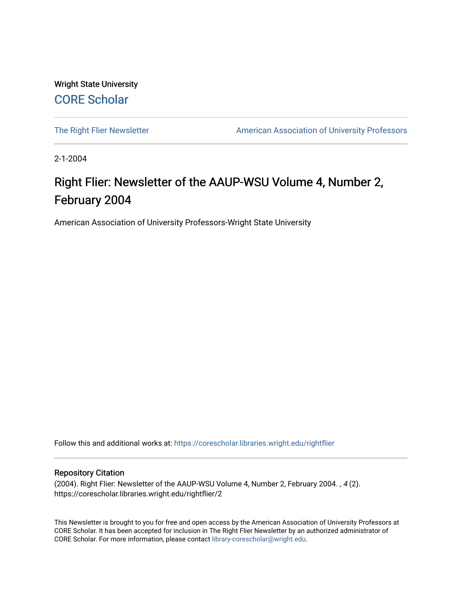Wright State University [CORE Scholar](https://corescholar.libraries.wright.edu/)

[The Right Flier Newsletter](https://corescholar.libraries.wright.edu/rightflier) **American Association of University Professors** 

2-1-2004

## Right Flier: Newsletter of the AAUP-WSU Volume 4, Number 2, February 2004

American Association of University Professors-Wright State University

Follow this and additional works at: [https://corescholar.libraries.wright.edu/rightflier](https://corescholar.libraries.wright.edu/rightflier?utm_source=corescholar.libraries.wright.edu%2Frightflier%2F2&utm_medium=PDF&utm_campaign=PDFCoverPages) 

#### Repository Citation

(2004). Right Flier: Newsletter of the AAUP-WSU Volume 4, Number 2, February 2004. , 4 (2). https://corescholar.libraries.wright.edu/rightflier/2

This Newsletter is brought to you for free and open access by the American Association of University Professors at CORE Scholar. It has been accepted for inclusion in The Right Flier Newsletter by an authorized administrator of CORE Scholar. For more information, please contact [library-corescholar@wright.edu](mailto:library-corescholar@wright.edu).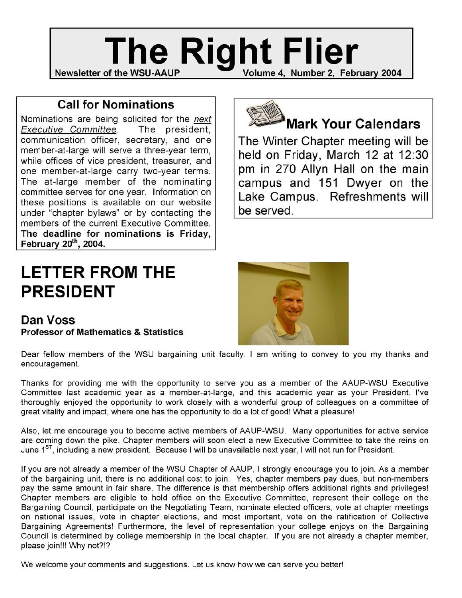## **Newsletter of the WSU-AAUP The Right Flier** Volume 4, Number 2, February 2004

### **Call for Nominations**

Nominations are being solicited for the next Executive Committee. The president, communication officer, secretary, and one member-at-Iarge will serve a three-year term, while offices of vice president, treasurer, and one member-at-Iarge carry two-year terms. The at-large member of the nominating committee serves for one year. Information on these positions is available on our website under "chapter bylaws" or by contacting the members of the current Executive Committee. **The deadline for nominations is Friday, February 20th, 2004.** 

# **LETTER FROM THE PRESIDENT**

**Dan Voss Professor of Mathematics & Statistics** 



## **Mark Your Calendars**

**The Winter Chapter meeting will be held on Friday, March 12 at 12:30 pm in 270 Allyn Hall on the main campus and 151 Dwyer on the Lake Campus. Refreshments will be served.** 



Dear fellow members of the WSU bargaining unit faculty. I am writing to convey to you my thanks and encouragement.

Thanks for providing me with the opportunity to serve you as a member of the AAUP-WSU Executive Committee last academic year as a member-at-Iarge, and this academic year as your President. I've thoroughly enjoyed the opportunity to work closely with a wonderful group of colleagues on a committee of great vitality and impact, where one has the opportunity to do a lot of good! What a pleasure!

Also, let me encourage you to become active members of AAUP-WSU. Many opportunities for active service are coming down the pike. Chapter members will soon elect a new Executive Committee to take the reins on June 1<sup>ST</sup>, including a new president. Because I will be unavailable next year, I will not run for President.

If you are not already a member of the WSU Chapter of AAUP, I strongly encourage you to join. As a member of the bargaining unit, there is no additional cost to join. Yes, chapter members pay dues, but non-members pay the same amount in fair share. The difference is that membership offers additional rights and privileges! Chapter members are eligible to hold office on the Executive Committee, represent their college on the Bargaining Council, participate on the Negotiating Team, nominate elected officers, vote at chapter meetings on national issues, vote in chapter elections, and most important, vote on the ratification of Collective Bargaining Agreements! Furthermore, the level of representation your college enjoys on the Bargaining Council is determined by college membership in the local chapter. If you are not already a chapter member, please join!!! Why not?!?

We welcome your comments and suggestions. Let us know how we can serve you better!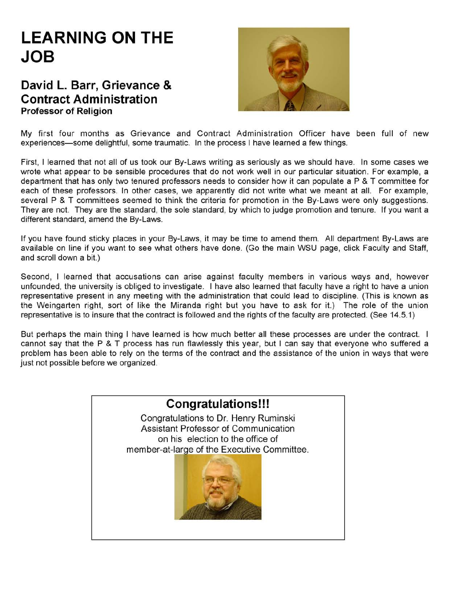# **LEARNING ON THE JOB**

### **David L. Barr, Grievance & Contract Administration Professor of Religion**



My first four months as Grievance and Contract Administration Officer have been full of new experiences-some delightful, some traumatic. In the process I have learned a few things.

First, I learned that not all of us took our By-Laws writing as seriously as we should have. In some cases we wrote what appear to be sensible procedures that do not work well in our particular situation. For example, a department that has only two tenured professors needs to consider how it can populate a P & T committee for each of these professors. In other cases, we apparently did not write what we meant at all. For example, several P & T committees seemed to think the criteria for promotion in the By-Laws were only suggestions. They are not. They are the standard, the sole standard, by which to judge promotion and tenure. If you want a different standard, amend the By-Laws.

If you have found sticky places in your By-Laws, it may be time to amend them. All department By-Laws are available on line if you want to see what others have done. (Go the main WSU page, click Faculty and Staff, and scroll down a bit.)

Second, I learned that accusations can arise against faculty members in various ways and, however unfounded, the university is obliged to investigate. I have also learned that faculty have a right to have a union representative present in any meeting with the administration that could lead to discipline. (This is known as the Weingarten right, sort of like the Miranda right but you have to ask for it.) The role of the union representative is to insure that the contract is followed and the rights of the faculty are protected. (See 14.5.1)

But perhaps the main thing I have learned is how much better all these processes are under the contract. I cannot say that the P & T process has run flawlessly this year, but I can say that everyone who suffered a problem has been able to rely on the terms of the contract and the assistance of the union in ways that were just not possible before we organized.

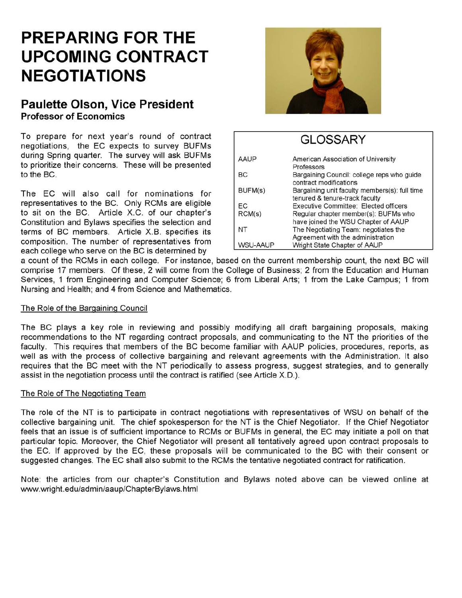# **PREPARING FOR THE UPCOMING CONTRACT NEGOTIATIONS**

#### **Paulette Olson, Vice President Professor of Economics**

To prepare for next year's round of contract negotiations, the EC expects to survey BUFMs during Spring quarter. The survey will ask BUFMs to prioritize their concerns. These will be presented to the BC.

The EC will also call for nominations for representatives to the BC. Only RCMs are eligible to sit on the BC. Article X.C. of our chapter's Constitution and Bylaws specifies the selection and terms of BC members. Article X. B. specifies its composition. The number of representatives from each college who serve on the BC is determined by



### **GLOSSARY**

| <b>AAUP</b>     | American Association of University                                   |
|-----------------|----------------------------------------------------------------------|
|                 | Professors                                                           |
| BC              | Bargaining Council: college reps who guide<br>contract modifications |
| BUFM(s)         | Bargaining unit faculty members(s): full time                        |
|                 | tenured & tenure-track faculty                                       |
| ЕC              | Executive Committee: Elected officers                                |
| RCM(s)          | Regular chapter member(s): BUFMs who                                 |
|                 | have joined the WSU Chapter of AAUP                                  |
| NT              | The Negotiating Team: negotiates the                                 |
|                 | Agreement with the administration                                    |
| <b>WSU-AAUP</b> | Wright State Chapter of AAUP                                         |

a count of the RCMs in each college. For instance, based on the current membership count, the next BC will comprise 17 members. Of these, 2 will come from the College of Business; 2 from the Education and Human Services, 1 from Engineering and Computer Science; 6 from Liberal Arts; 1 from the Lake Campus; 1 from Nursing and Health; and 4 from Science and Mathematics.

#### The Role of the Bargaining Council

The BC plays a key role in reviewing and possibly modifying all draft bargaining proposals, making recommendations to the NT regarding contract proposals, and communicating to the NT the priorities of the faculty. This requires that members of the BC become familiar with AAUP policies, procedures, reports, as well as with the process of collective bargaining and relevant agreements with the Administration. It also requires that the BC meet with the NT periodically to assess progress, suggest strategies, and to generally assist in the negotiation process until the contract is ratified (see Article *X.D.*).

#### The Role of The Negotiating Team

The role of the NT is to participate in contract negotiations with representatives of WSU on behalf of the collective bargaining unit. The chief spokesperson for the NT is the Chief Negotiator. If the Chief Negotiator feels that an issue is of sufficient importance to RCMs or BUFMs in general, the EC may initiate a poll on that particular topic. Moreover, the Chief Negotiator will present all tentatively agreed upon contract proposals to the EC. If approved by the EC, these proposals will be communicated to the BC with their consent or suggested changes. The EC shall also submit to the RCMs the tentative negotiated contract for ratification.

Note: the articles from our chapter's Constitution and Bylaws noted above can be viewed online at www.wright.edu/admin/aaup/ChapterBylaws.html